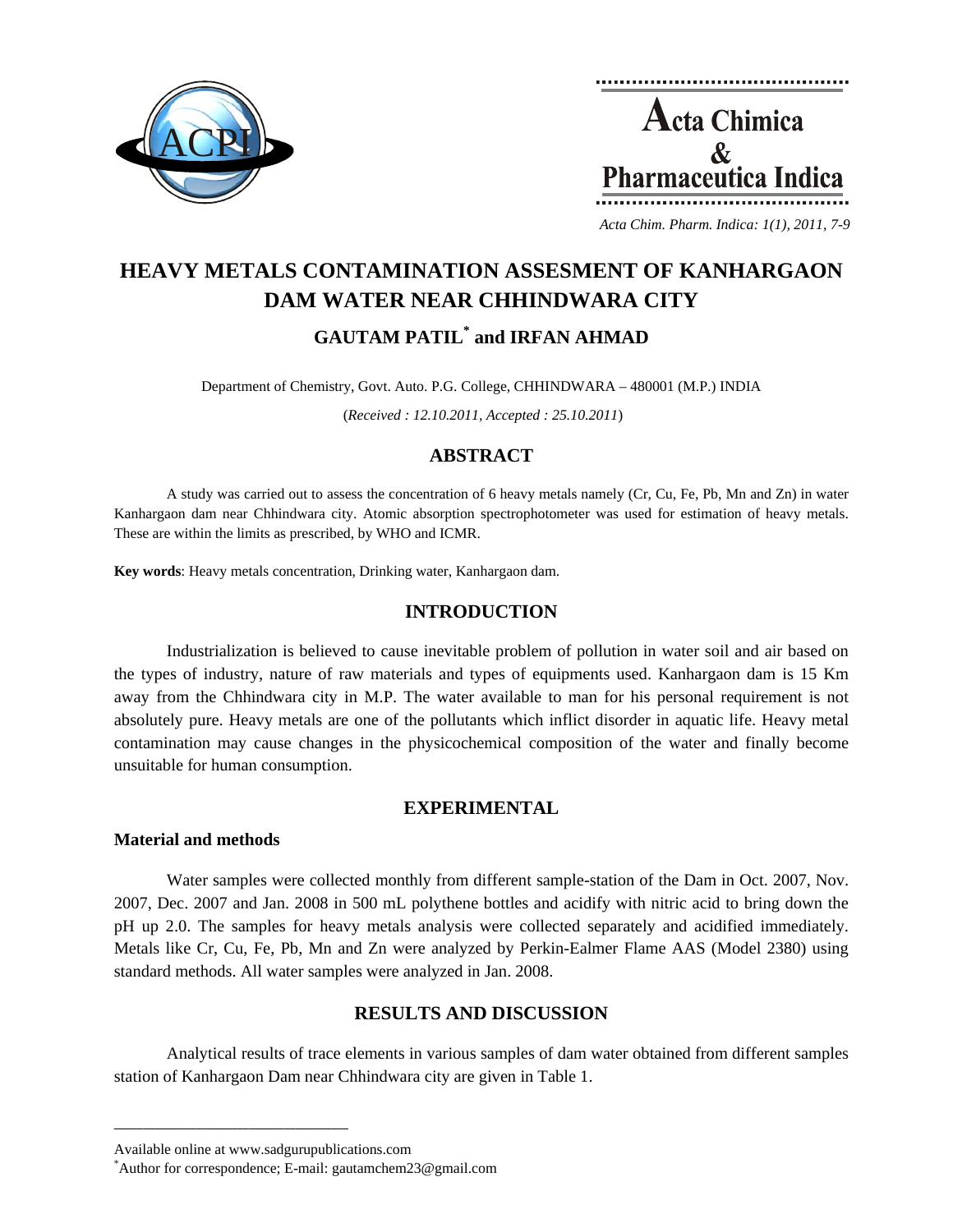



*Acta Chim. Pharm. Indica: 1(1), 2011, 7-9*

# **HEAVY METALS CONTAMINATION ASSESMENT OF KANHARGAON DAM WATER NEAR CHHINDWARA CITY GAUTAM PATIL\* and IRFAN AHMAD**

Department of Chemistry, Govt. Auto. P.G. College, CHHINDWARA – 480001 (M.P.) INDIA

(*Received : 12.10.2011, Accepted : 25.10.2011*)

## **ABSTRACT**

A study was carried out to assess the concentration of 6 heavy metals namely (Cr, Cu, Fe, Pb, Mn and Zn) in water Kanhargaon dam near Chhindwara city. Atomic absorption spectrophotometer was used for estimation of heavy metals. These are within the limits as prescribed, by WHO and ICMR.

**Key words**: Heavy metals concentration, Drinking water, Kanhargaon dam.

## **INTRODUCTION**

Industrialization is believed to cause inevitable problem of pollution in water soil and air based on the types of industry, nature of raw materials and types of equipments used. Kanhargaon dam is 15 Km away from the Chhindwara city in M.P. The water available to man for his personal requirement is not absolutely pure. Heavy metals are one of the pollutants which inflict disorder in aquatic life. Heavy metal contamination may cause changes in the physicochemical composition of the water and finally become unsuitable for human consumption.

## **EXPERIMENTAL**

#### **Material and methods**

Water samples were collected monthly from different sample-station of the Dam in Oct. 2007, Nov. 2007, Dec. 2007 and Jan. 2008 in 500 mL polythene bottles and acidify with nitric acid to bring down the pH up 2.0. The samples for heavy metals analysis were collected separately and acidified immediately. Metals like Cr, Cu, Fe, Pb, Mn and Zn were analyzed by Perkin-Ealmer Flame AAS (Model 2380) using standard methods. All water samples were analyzed in Jan. 2008.

## **RESULTS AND DISCUSSION**

Analytical results of trace elements in various samples of dam water obtained from different samples station of Kanhargaon Dam near Chhindwara city are given in Table 1.

**\_\_\_\_\_\_\_\_\_\_\_\_\_\_\_\_\_\_\_\_\_\_\_\_\_\_\_\_\_\_\_\_\_\_\_\_\_\_\_\_**

Available online at www.sadgurupublications.com \*

Author for correspondence; E-mail: gautamchem23@gmail.com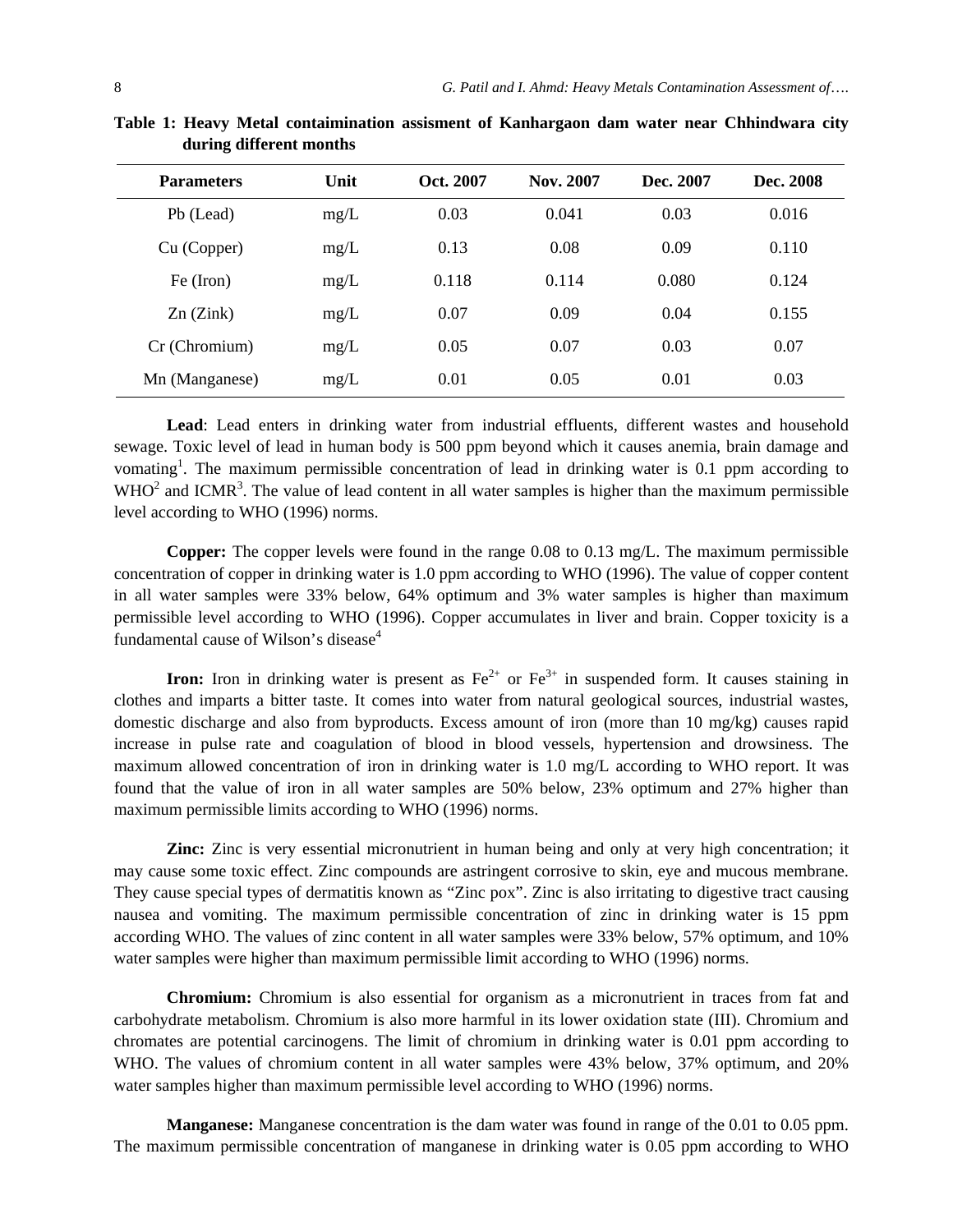| <b>Parameters</b> | Unit | Oct. 2007 | Nov. 2007 | Dec. 2007 | Dec. 2008 |
|-------------------|------|-----------|-----------|-----------|-----------|
| Pb (Lead)         | mg/L | 0.03      | 0.041     | 0.03      | 0.016     |
| Cu (Copper)       | mg/L | 0.13      | 0.08      | 0.09      | 0.110     |
| Fe (Iron)         | mg/L | 0.118     | 0.114     | 0.080     | 0.124     |
| $Zn$ ( $Zink$ )   | mg/L | 0.07      | 0.09      | 0.04      | 0.155     |
| Cr (Chromium)     | mg/L | 0.05      | 0.07      | 0.03      | 0.07      |
| Mn (Manganese)    | mg/L | 0.01      | 0.05      | 0.01      | 0.03      |

**Table 1: Heavy Metal contaimination assisment of Kanhargaon dam water near Chhindwara city during different months** 

**Lead**: Lead enters in drinking water from industrial effluents, different wastes and household sewage. Toxic level of lead in human body is 500 ppm beyond which it causes anemia, brain damage and vomating<sup>1</sup>. The maximum permissible concentration of lead in drinking water is 0.1 ppm according to  $WHO<sup>2</sup>$  and ICMR<sup>3</sup>. The value of lead content in all water samples is higher than the maximum permissible level according to WHO (1996) norms.

**Copper:** The copper levels were found in the range 0.08 to 0.13 mg/L. The maximum permissible concentration of copper in drinking water is 1.0 ppm according to WHO (1996). The value of copper content in all water samples were 33% below, 64% optimum and 3% water samples is higher than maximum permissible level according to WHO (1996). Copper accumulates in liver and brain. Copper toxicity is a fundamental cause of Wilson's disease<sup>4</sup>

**Iron:** Iron in drinking water is present as  $Fe^{2+}$  or  $Fe^{3+}$  in suspended form. It causes staining in clothes and imparts a bitter taste. It comes into water from natural geological sources, industrial wastes, domestic discharge and also from byproducts. Excess amount of iron (more than 10 mg/kg) causes rapid increase in pulse rate and coagulation of blood in blood vessels, hypertension and drowsiness. The maximum allowed concentration of iron in drinking water is 1.0 mg/L according to WHO report. It was found that the value of iron in all water samples are 50% below, 23% optimum and 27% higher than maximum permissible limits according to WHO (1996) norms.

**Zinc:** Zinc is very essential micronutrient in human being and only at very high concentration; it may cause some toxic effect. Zinc compounds are astringent corrosive to skin, eye and mucous membrane. They cause special types of dermatitis known as "Zinc pox". Zinc is also irritating to digestive tract causing nausea and vomiting. The maximum permissible concentration of zinc in drinking water is 15 ppm according WHO. The values of zinc content in all water samples were 33% below, 57% optimum, and 10% water samples were higher than maximum permissible limit according to WHO (1996) norms.

**Chromium:** Chromium is also essential for organism as a micronutrient in traces from fat and carbohydrate metabolism. Chromium is also more harmful in its lower oxidation state (III). Chromium and chromates are potential carcinogens. The limit of chromium in drinking water is 0.01 ppm according to WHO. The values of chromium content in all water samples were 43% below, 37% optimum, and 20% water samples higher than maximum permissible level according to WHO (1996) norms.

**Manganese:** Manganese concentration is the dam water was found in range of the 0.01 to 0.05 ppm. The maximum permissible concentration of manganese in drinking water is 0.05 ppm according to WHO